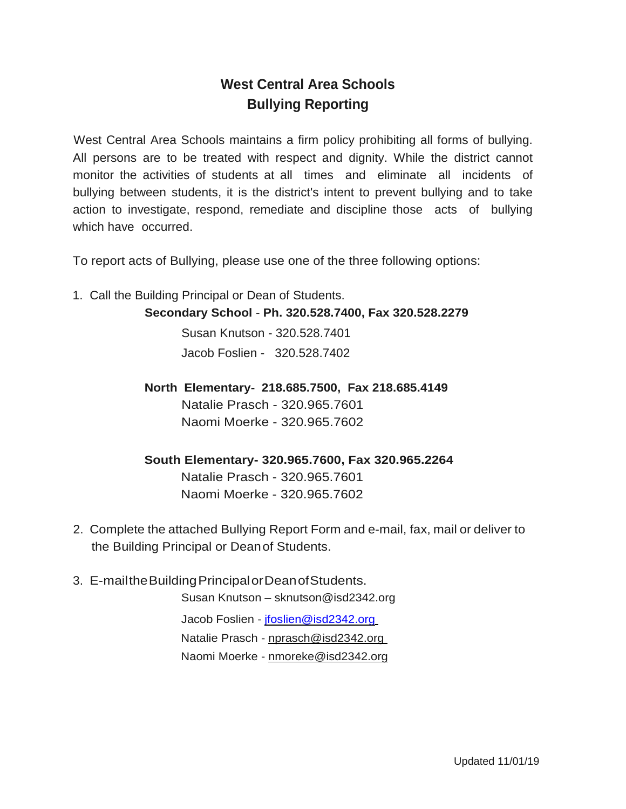## **West Central Area Schools Bullying Reporting**

West Central Area Schools maintains a firm policy prohibiting all forms of bullying. All persons are to be treated with respect and dignity. While the district cannot monitor the activities of students at all times and eliminate all incidents of bullying between students, it is the district's intent to prevent bullying and to take action to investigate, respond, remediate and discipline those acts of bullying which have occurred.

To report acts of Bullying, please use one of the three following options:

1. Call the Building Principal or Dean of Students.

**Secondary School** - **Ph. 320.528.7400, Fax 320.528.2279**

Susan Knutson - 320.528.7401 Jacob Foslien - 320.528.7402

**North Elementary- 218.685.7500, Fax 218.685.4149** Natalie Prasch - 320.965.7601 Naomi Moerke - 320.965.7602

**South Elementary- 320.965.7600, Fax 320.965.2264** Natalie Prasch - 320.965.7601

Naomi Moerke - 320.965.7602

- 2. Complete the attached Bullying Report Form and e-mail, fax, mail or deliver to the Building Principal or Deanof Students.
- 3. E-mailtheBuildingPrincipalorDeanofStudents.

Susan Knutson – sknutson@isd2342.org

Jacob Foslien - [jfoslien@isd2342.org](mailto:jfoslien@isd2342.org) Natalie Prasch - [nprasch@isd2342.org](mailto:nprasch@isd2342.org) Naomi Moerke - [nmoreke@isd2342.org](mailto:nmoreke@isd2342.org)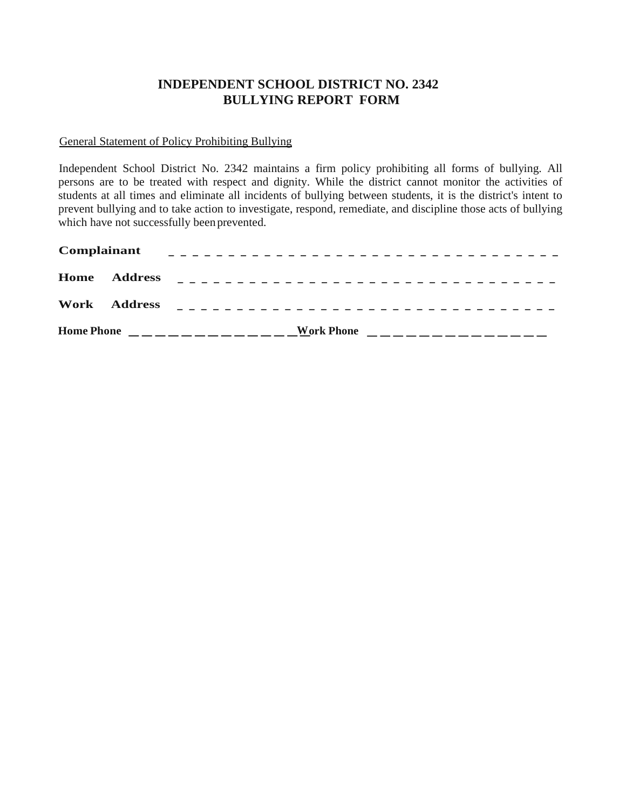## **INDEPENDENT SCHOOL DISTRICT NO. 2342 BULLYING REPORT FORM**

General Statement of Policy Prohibiting Bullying

Independent School District No. 2342 maintains a firm policy prohibiting all forms of bullying. All persons are to be treated with respect and dignity. While the district cannot monitor the activities of students at all times and eliminate all incidents of bullying between students, it is the district's intent to prevent bullying and to take action to investigate, respond, remediate, and discipline those acts of bullying which have not successfully been prevented.

| Complainant<br>______________________________________ |                     |                                                         |  |  |  |
|-------------------------------------------------------|---------------------|---------------------------------------------------------|--|--|--|
|                                                       | <b>Home Address</b> |                                                         |  |  |  |
|                                                       | Work Address        |                                                         |  |  |  |
| <b>Home Phone</b>                                     |                     | <b>Work Phone</b><br>______________<br>________________ |  |  |  |